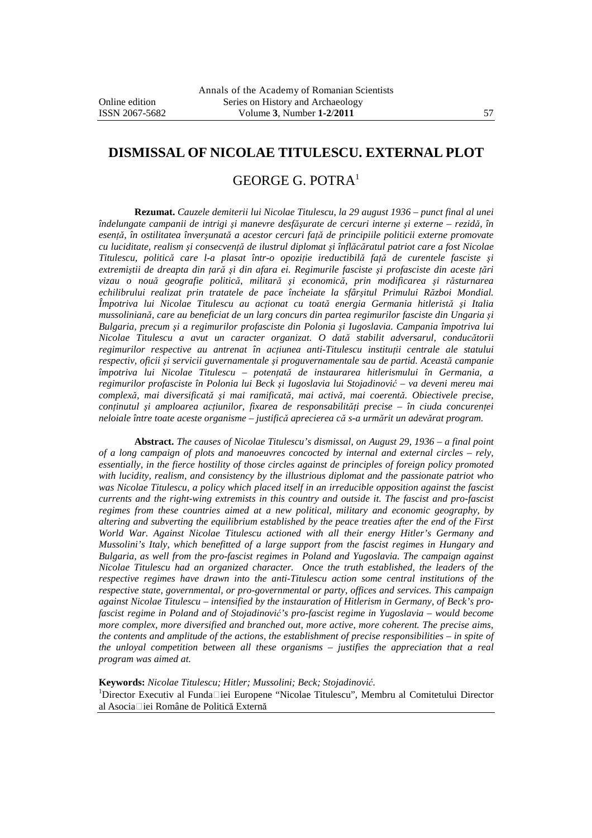## **DISMISSAL OF NICOLAE TITULESCU. EXTERNAL PLOT**

## GEORGE G. POTRA<sup>1</sup>

**Rezumat.** *Cauzele demiterii lui Nicolae Titulescu, la 29 august 1936 – punct final al unei îndelungate campanii de intrigi şi manevre desfăşurate de cercuri interne şi externe – rezidă, în esenţă, în ostilitatea înverşunată a acestor cercuri faţă de principiile politicii externe promovate cu luciditate, realism şi consecvenţă de ilustrul diplomat şi înflăcăratul patriot care a fost Nicolae Titulescu, politică care l-a plasat într-o opoziţie ireductibilă faţă de curentele fasciste şi extremiştii de dreapta din ţară şi din afara ei. Regimurile fasciste şi profasciste din aceste ţări vizau o nouă geografie politică, militară şi economică, prin modificarea şi răsturnarea echilibrului realizat prin tratatele de pace încheiate la sfârşitul Primului Război Mondial. Împotriva lui Nicolae Titulescu au acţionat cu toată energia Germania hitleristă şi Italia mussoliniană, care au beneficiat de un larg concurs din partea regimurilor fasciste din Ungaria şi Bulgaria, precum şi a regimurilor profasciste din Polonia şi Iugoslavia. Campania împotriva lui Nicolae Titulescu a avut un caracter organizat. O dată stabilit adversarul, conducătorii regimurilor respective au antrenat în acţiunea anti-Titulescu instituţii centrale ale statului respectiv, oficii şi servicii guvernamentale şi proguvernamentale sau de partid. Această campanie împotriva lui Nicolae Titulescu – potenţată de instaurarea hitlerismului în Germania, a regimurilor profasciste în Polonia lui Beck şi Iugoslavia lui Stojadinović – va deveni mereu mai complexă, mai diversificată şi mai ramificată, mai activă, mai coerentă. Obiectivele precise, conţinutul şi amploarea acţiunilor, fixarea de responsabilităţi precise – în ciuda concurenţei neloiale între toate aceste organisme – justifică aprecierea că s-a urmărit un adevărat program.* 

**Abstract.** *The causes of Nicolae Titulescu's dismissal, on August 29, 1936 – a final point of a long campaign of plots and manoeuvres concocted by internal and external circles – rely, essentially, in the fierce hostility of those circles against de principles of foreign policy promoted with lucidity, realism, and consistency by the illustrious diplomat and the passionate patriot who was Nicolae Titulescu, a policy which placed itself in an irreducible opposition against the fascist currents and the right-wing extremists in this country and outside it. The fascist and pro-fascist regimes from these countries aimed at a new political, military and economic geography, by altering and subverting the equilibrium established by the peace treaties after the end of the First World War. Against Nicolae Titulescu actioned with all their energy Hitler's Germany and Mussolini's Italy, which benefitted of a large support from the fascist regimes in Hungary and Bulgaria, as well from the pro-fascist regimes in Poland and Yugoslavia. The campaign against Nicolae Titulescu had an organized character. Once the truth established, the leaders of the respective regimes have drawn into the anti-Titulescu action some central institutions of the respective state, governmental, or pro-governmental or party, offices and services. This campaign against Nicolae Titulescu – intensified by the instauration of Hitlerism in Germany, of Beck's profascist regime in Poland and of Stojadinović's pro-fascist regime in Yugoslavia – would become more complex, more diversified and branched out, more active, more coherent. The precise aims, the contents and amplitude of the actions, the establishment of precise responsibilities – in spite of the unloyal competition between all these organisms – justifies the appreciation that a real program was aimed at.* 

**Keywords:** *Nicolae Titulescu; Hitler; Mussolini; Beck; Stojadinović.* 

 $1$ Director Executiv al Funda $\Box$ iei Europene "Nicolae Titulescu", Membru al Comitetului Director al Asocia□iei Române de Politică Externă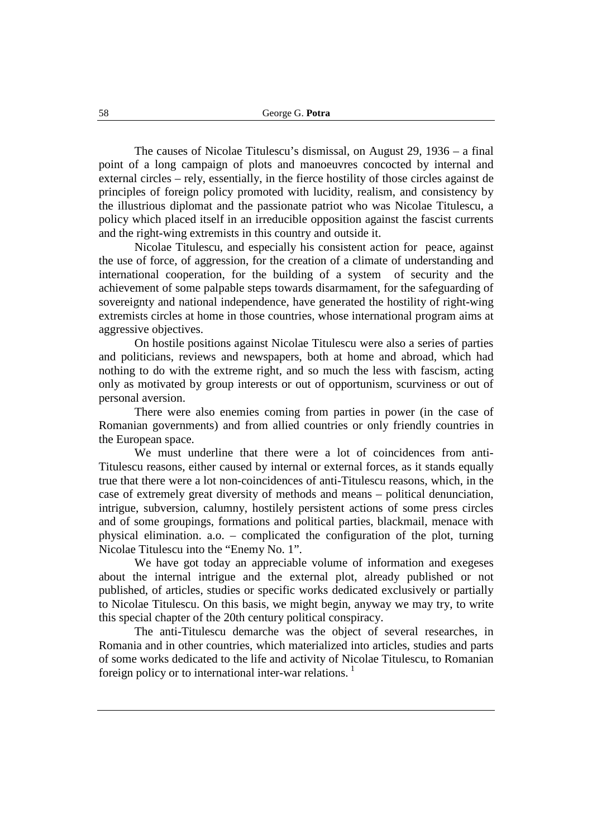The causes of Nicolae Titulescu's dismissal, on August 29, 1936 – a final point of a long campaign of plots and manoeuvres concocted by internal and external circles – rely, essentially, in the fierce hostility of those circles against de principles of foreign policy promoted with lucidity, realism, and consistency by the illustrious diplomat and the passionate patriot who was Nicolae Titulescu, a policy which placed itself in an irreducible opposition against the fascist currents and the right-wing extremists in this country and outside it.

Nicolae Titulescu, and especially his consistent action for peace, against the use of force, of aggression, for the creation of a climate of understanding and international cooperation, for the building of a system of security and the achievement of some palpable steps towards disarmament, for the safeguarding of sovereignty and national independence, have generated the hostility of right-wing extremists circles at home in those countries, whose international program aims at aggressive objectives.

On hostile positions against Nicolae Titulescu were also a series of parties and politicians, reviews and newspapers, both at home and abroad, which had nothing to do with the extreme right, and so much the less with fascism, acting only as motivated by group interests or out of opportunism, scurviness or out of personal aversion.

There were also enemies coming from parties in power (in the case of Romanian governments) and from allied countries or only friendly countries in the European space.

We must underline that there were a lot of coincidences from anti-Titulescu reasons, either caused by internal or external forces, as it stands equally true that there were a lot non-coincidences of anti-Titulescu reasons, which, in the case of extremely great diversity of methods and means – political denunciation, intrigue, subversion, calumny, hostilely persistent actions of some press circles and of some groupings, formations and political parties, blackmail, menace with physical elimination. a.o. – complicated the configuration of the plot, turning Nicolae Titulescu into the "Enemy No. 1".

We have got today an appreciable volume of information and exegeses about the internal intrigue and the external plot, already published or not published, of articles, studies or specific works dedicated exclusively or partially to Nicolae Titulescu. On this basis, we might begin, anyway we may try, to write this special chapter of the 20th century political conspiracy.

The anti-Titulescu demarche was the object of several researches, in Romania and in other countries, which materialized into articles, studies and parts of some works dedicated to the life and activity of Nicolae Titulescu, to Romanian foreign policy or to international inter-war relations.<sup>1</sup>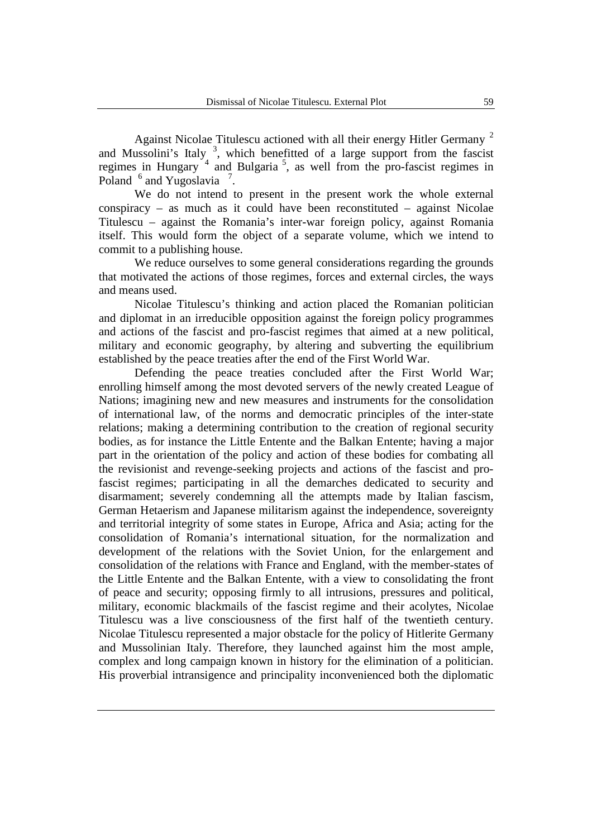Against Nicolae Titulescu actioned with all their energy Hitler Germany<sup>2</sup> and Mussolini's Italy<sup>3</sup>, which benefitted of a large support from the fascist regimes in Hungary<sup>4</sup> and Bulgaria<sup>5</sup>, as well from the pro-fascist regimes in Poland  $^6$  and Yugoslavia<sup>7</sup>.

We do not intend to present in the present work the whole external conspiracy – as much as it could have been reconstituted – against Nicolae Titulescu – against the Romania's inter-war foreign policy, against Romania itself. This would form the object of a separate volume, which we intend to commit to a publishing house.

We reduce ourselves to some general considerations regarding the grounds that motivated the actions of those regimes, forces and external circles, the ways and means used.

Nicolae Titulescu's thinking and action placed the Romanian politician and diplomat in an irreducible opposition against the foreign policy programmes and actions of the fascist and pro-fascist regimes that aimed at a new political, military and economic geography, by altering and subverting the equilibrium established by the peace treaties after the end of the First World War.

Defending the peace treaties concluded after the First World War; enrolling himself among the most devoted servers of the newly created League of Nations; imagining new and new measures and instruments for the consolidation of international law, of the norms and democratic principles of the inter-state relations; making a determining contribution to the creation of regional security bodies, as for instance the Little Entente and the Balkan Entente; having a major part in the orientation of the policy and action of these bodies for combating all the revisionist and revenge-seeking projects and actions of the fascist and profascist regimes; participating in all the demarches dedicated to security and disarmament; severely condemning all the attempts made by Italian fascism, German Hetaerism and Japanese militarism against the independence, sovereignty and territorial integrity of some states in Europe, Africa and Asia; acting for the consolidation of Romania's international situation, for the normalization and development of the relations with the Soviet Union, for the enlargement and consolidation of the relations with France and England, with the member-states of the Little Entente and the Balkan Entente, with a view to consolidating the front of peace and security; opposing firmly to all intrusions, pressures and political, military, economic blackmails of the fascist regime and their acolytes, Nicolae Titulescu was a live consciousness of the first half of the twentieth century. Nicolae Titulescu represented a major obstacle for the policy of Hitlerite Germany and Mussolinian Italy. Therefore, they launched against him the most ample, complex and long campaign known in history for the elimination of a politician. His proverbial intransigence and principality inconvenienced both the diplomatic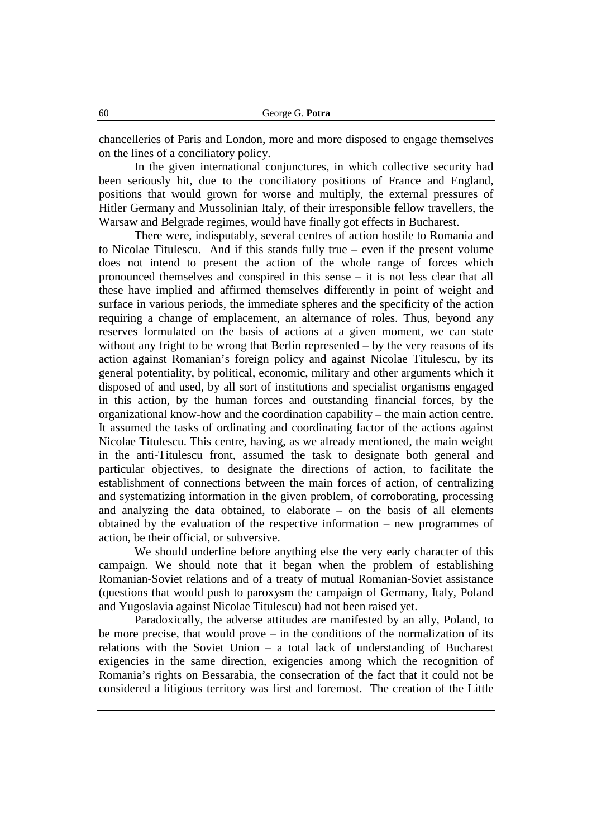chancelleries of Paris and London, more and more disposed to engage themselves on the lines of a conciliatory policy.

In the given international conjunctures, in which collective security had been seriously hit, due to the conciliatory positions of France and England, positions that would grown for worse and multiply, the external pressures of Hitler Germany and Mussolinian Italy, of their irresponsible fellow travellers, the Warsaw and Belgrade regimes, would have finally got effects in Bucharest.

There were, indisputably, several centres of action hostile to Romania and to Nicolae Titulescu. And if this stands fully true – even if the present volume does not intend to present the action of the whole range of forces which pronounced themselves and conspired in this sense – it is not less clear that all these have implied and affirmed themselves differently in point of weight and surface in various periods, the immediate spheres and the specificity of the action requiring a change of emplacement, an alternance of roles. Thus, beyond any reserves formulated on the basis of actions at a given moment, we can state without any fright to be wrong that Berlin represented – by the very reasons of its action against Romanian's foreign policy and against Nicolae Titulescu, by its general potentiality, by political, economic, military and other arguments which it disposed of and used, by all sort of institutions and specialist organisms engaged in this action, by the human forces and outstanding financial forces, by the organizational know-how and the coordination capability – the main action centre. It assumed the tasks of ordinating and coordinating factor of the actions against Nicolae Titulescu. This centre, having, as we already mentioned, the main weight in the anti-Titulescu front, assumed the task to designate both general and particular objectives, to designate the directions of action, to facilitate the establishment of connections between the main forces of action, of centralizing and systematizing information in the given problem, of corroborating, processing and analyzing the data obtained, to elaborate – on the basis of all elements obtained by the evaluation of the respective information – new programmes of action, be their official, or subversive.

We should underline before anything else the very early character of this campaign. We should note that it began when the problem of establishing Romanian-Soviet relations and of a treaty of mutual Romanian-Soviet assistance (questions that would push to paroxysm the campaign of Germany, Italy, Poland and Yugoslavia against Nicolae Titulescu) had not been raised yet.

Paradoxically, the adverse attitudes are manifested by an ally, Poland, to be more precise, that would prove  $-$  in the conditions of the normalization of its relations with the Soviet Union – a total lack of understanding of Bucharest exigencies in the same direction, exigencies among which the recognition of Romania's rights on Bessarabia, the consecration of the fact that it could not be considered a litigious territory was first and foremost. The creation of the Little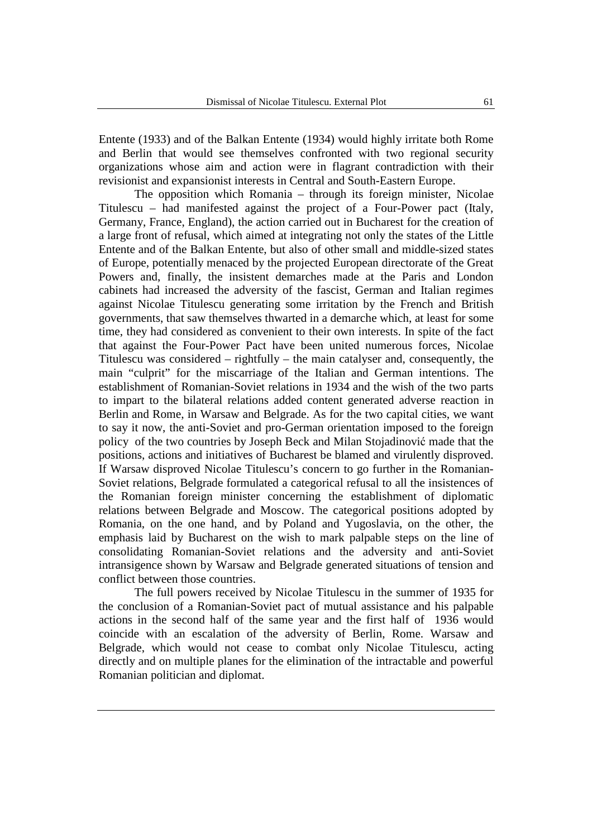Entente (1933) and of the Balkan Entente (1934) would highly irritate both Rome and Berlin that would see themselves confronted with two regional security organizations whose aim and action were in flagrant contradiction with their revisionist and expansionist interests in Central and South-Eastern Europe.

The opposition which Romania – through its foreign minister, Nicolae Titulescu – had manifested against the project of a Four-Power pact (Italy, Germany, France, England), the action carried out in Bucharest for the creation of a large front of refusal, which aimed at integrating not only the states of the Little Entente and of the Balkan Entente, but also of other small and middle-sized states of Europe, potentially menaced by the projected European directorate of the Great Powers and, finally, the insistent demarches made at the Paris and London cabinets had increased the adversity of the fascist, German and Italian regimes against Nicolae Titulescu generating some irritation by the French and British governments, that saw themselves thwarted in a demarche which, at least for some time, they had considered as convenient to their own interests. In spite of the fact that against the Four-Power Pact have been united numerous forces, Nicolae Titulescu was considered – rightfully – the main catalyser and, consequently, the main "culprit" for the miscarriage of the Italian and German intentions. The establishment of Romanian-Soviet relations in 1934 and the wish of the two parts to impart to the bilateral relations added content generated adverse reaction in Berlin and Rome, in Warsaw and Belgrade. As for the two capital cities, we want to say it now, the anti-Soviet and pro-German orientation imposed to the foreign policy of the two countries by Joseph Beck and Milan Stojadinović made that the positions, actions and initiatives of Bucharest be blamed and virulently disproved. If Warsaw disproved Nicolae Titulescu's concern to go further in the Romanian-Soviet relations, Belgrade formulated a categorical refusal to all the insistences of the Romanian foreign minister concerning the establishment of diplomatic relations between Belgrade and Moscow. The categorical positions adopted by Romania, on the one hand, and by Poland and Yugoslavia, on the other, the emphasis laid by Bucharest on the wish to mark palpable steps on the line of consolidating Romanian-Soviet relations and the adversity and anti-Soviet intransigence shown by Warsaw and Belgrade generated situations of tension and conflict between those countries.

The full powers received by Nicolae Titulescu in the summer of 1935 for the conclusion of a Romanian-Soviet pact of mutual assistance and his palpable actions in the second half of the same year and the first half of 1936 would coincide with an escalation of the adversity of Berlin, Rome. Warsaw and Belgrade, which would not cease to combat only Nicolae Titulescu, acting directly and on multiple planes for the elimination of the intractable and powerful Romanian politician and diplomat.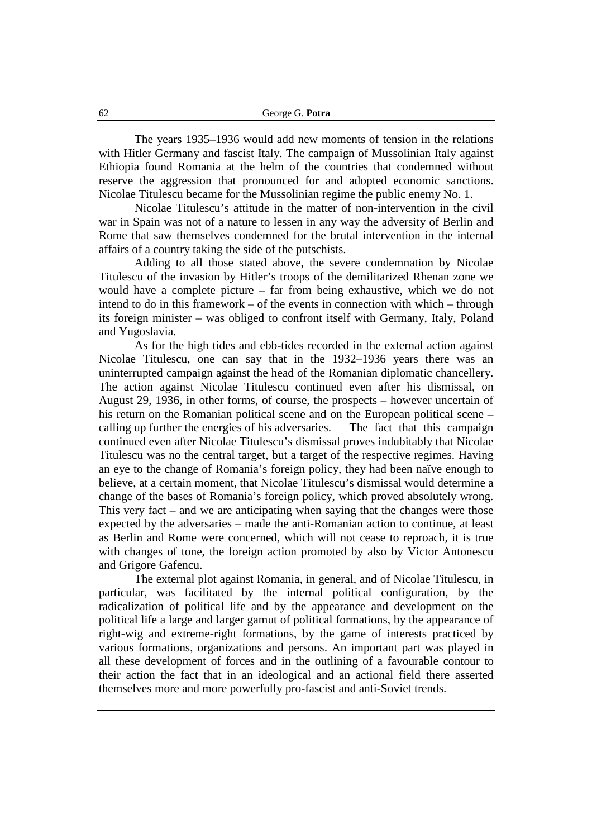The years 1935–1936 would add new moments of tension in the relations with Hitler Germany and fascist Italy. The campaign of Mussolinian Italy against Ethiopia found Romania at the helm of the countries that condemned without reserve the aggression that pronounced for and adopted economic sanctions. Nicolae Titulescu became for the Mussolinian regime the public enemy No. 1.

Nicolae Titulescu's attitude in the matter of non-intervention in the civil war in Spain was not of a nature to lessen in any way the adversity of Berlin and Rome that saw themselves condemned for the brutal intervention in the internal affairs of a country taking the side of the putschists.

Adding to all those stated above, the severe condemnation by Nicolae Titulescu of the invasion by Hitler's troops of the demilitarized Rhenan zone we would have a complete picture – far from being exhaustive, which we do not intend to do in this framework – of the events in connection with which – through its foreign minister – was obliged to confront itself with Germany, Italy, Poland and Yugoslavia.

As for the high tides and ebb-tides recorded in the external action against Nicolae Titulescu, one can say that in the 1932–1936 years there was an uninterrupted campaign against the head of the Romanian diplomatic chancellery. The action against Nicolae Titulescu continued even after his dismissal, on August 29, 1936, in other forms, of course, the prospects – however uncertain of his return on the Romanian political scene and on the European political scene – calling up further the energies of his adversaries. The fact that this campaign continued even after Nicolae Titulescu's dismissal proves indubitably that Nicolae Titulescu was no the central target, but a target of the respective regimes. Having an eye to the change of Romania's foreign policy, they had been naïve enough to believe, at a certain moment, that Nicolae Titulescu's dismissal would determine a change of the bases of Romania's foreign policy, which proved absolutely wrong. This very fact – and we are anticipating when saying that the changes were those expected by the adversaries – made the anti-Romanian action to continue, at least as Berlin and Rome were concerned, which will not cease to reproach, it is true with changes of tone, the foreign action promoted by also by Victor Antonescu and Grigore Gafencu.

The external plot against Romania, in general, and of Nicolae Titulescu, in particular, was facilitated by the internal political configuration, by the radicalization of political life and by the appearance and development on the political life a large and larger gamut of political formations, by the appearance of right-wig and extreme-right formations, by the game of interests practiced by various formations, organizations and persons. An important part was played in all these development of forces and in the outlining of a favourable contour to their action the fact that in an ideological and an actional field there asserted themselves more and more powerfully pro-fascist and anti-Soviet trends.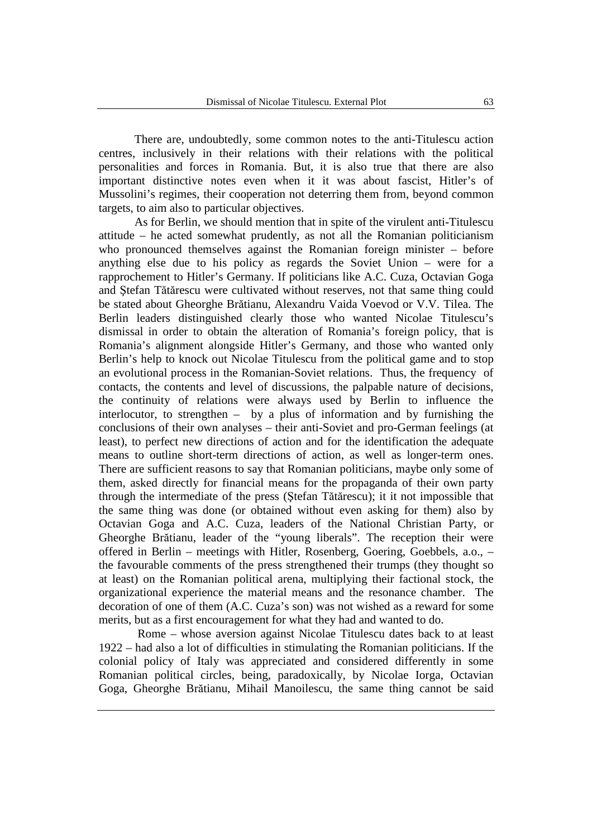There are, undoubtedly, some common notes to the anti-Titulescu action centres, inclusively in their relations with their relations with the political personalities and forces in Romania. But, it is also true that there are also important distinctive notes even when it it was about fascist, Hitler's of Mussolini's regimes, their cooperation not deterring them from, beyond common targets, to aim also to particular objectives.

As for Berlin, we should mention that in spite of the virulent anti-Titulescu attitude – he acted somewhat prudently, as not all the Romanian politicianism who pronounced themselves against the Romanian foreign minister – before anything else due to his policy as regards the Soviet Union – were for a rapprochement to Hitler's Germany. If politicians like A.C. Cuza, Octavian Goga and Ştefan Tătărescu were cultivated without reserves, not that same thing could be stated about Gheorghe Brătianu, Alexandru Vaida Voevod or V.V. Tilea. The Berlin leaders distinguished clearly those who wanted Nicolae Titulescu's dismissal in order to obtain the alteration of Romania's foreign policy, that is Romania's alignment alongside Hitler's Germany, and those who wanted only Berlin's help to knock out Nicolae Titulescu from the political game and to stop an evolutional process in the Romanian-Soviet relations. Thus, the frequency of contacts, the contents and level of discussions, the palpable nature of decisions, the continuity of relations were always used by Berlin to influence the interlocutor, to strengthen – by a plus of information and by furnishing the conclusions of their own analyses – their anti-Soviet and pro-German feelings (at least), to perfect new directions of action and for the identification the adequate means to outline short-term directions of action, as well as longer-term ones. There are sufficient reasons to say that Romanian politicians, maybe only some of them, asked directly for financial means for the propaganda of their own party through the intermediate of the press (Ştefan Tătărescu); it it not impossible that the same thing was done (or obtained without even asking for them) also by Octavian Goga and A.C. Cuza, leaders of the National Christian Party, or Gheorghe Brătianu, leader of the "young liberals". The reception their were offered in Berlin – meetings with Hitler, Rosenberg, Goering, Goebbels, a.o., – the favourable comments of the press strengthened their trumps (they thought so at least) on the Romanian political arena, multiplying their factional stock, the organizational experience the material means and the resonance chamber. The decoration of one of them (A.C. Cuza's son) was not wished as a reward for some merits, but as a first encouragement for what they had and wanted to do.

 Rome – whose aversion against Nicolae Titulescu dates back to at least 1922 – had also a lot of difficulties in stimulating the Romanian politicians. If the colonial policy of Italy was appreciated and considered differently in some Romanian political circles, being, paradoxically, by Nicolae Iorga, Octavian Goga, Gheorghe Brătianu, Mihail Manoilescu, the same thing cannot be said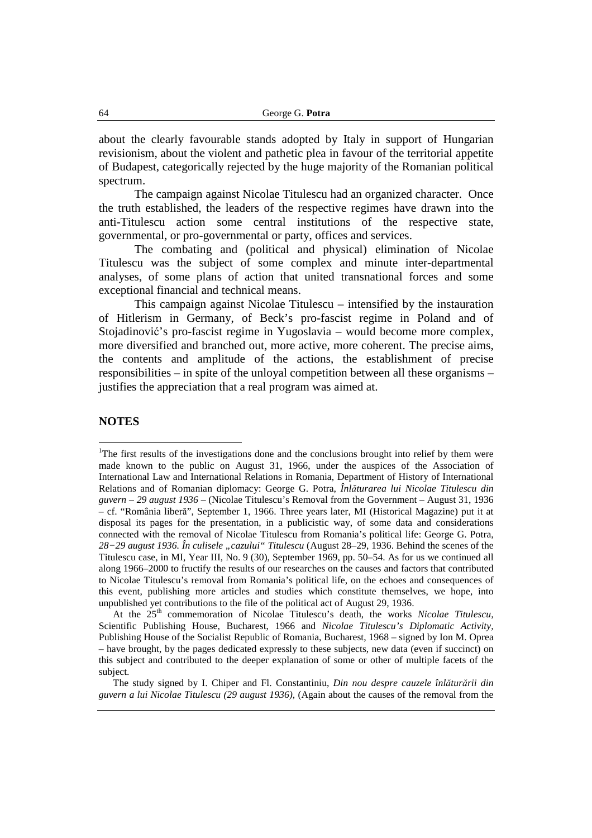about the clearly favourable stands adopted by Italy in support of Hungarian revisionism, about the violent and pathetic plea in favour of the territorial appetite of Budapest, categorically rejected by the huge majority of the Romanian political spectrum.

The campaign against Nicolae Titulescu had an organized character. Once the truth established, the leaders of the respective regimes have drawn into the anti-Titulescu action some central institutions of the respective state, governmental, or pro-governmental or party, offices and services.

The combating and (political and physical) elimination of Nicolae Titulescu was the subject of some complex and minute inter-departmental analyses, of some plans of action that united transnational forces and some exceptional financial and technical means.

This campaign against Nicolae Titulescu – intensified by the instauration of Hitlerism in Germany, of Beck's pro-fascist regime in Poland and of Stojadinović's pro-fascist regime in Yugoslavia – would become more complex, more diversified and branched out, more active, more coherent. The precise aims, the contents and amplitude of the actions, the establishment of precise responsibilities – in spite of the unloyal competition between all these organisms – justifies the appreciation that a real program was aimed at.

## **NOTES**

 $\overline{a}$ 

At the 25<sup>th</sup> commemoration of Nicolae Titulescu's death, the works *Nicolae Titulescu*, Scientific Publishing House, Bucharest, 1966 and *Nicolae Titulescu's Diplomatic Activity,*  Publishing House of the Socialist Republic of Romania, Bucharest, 1968 – signed by Ion M. Oprea – have brought, by the pages dedicated expressly to these subjects, new data (even if succinct) on this subject and contributed to the deeper explanation of some or other of multiple facets of the subject.

The study signed by I. Chiper and Fl. Constantiniu, *Din nou despre cauzele înlăturării din guvern a lui Nicolae Titulescu (29 august 1936),* (Again about the causes of the removal from the

<sup>&</sup>lt;sup>1</sup>The first results of the investigations done and the conclusions brought into relief by them were made known to the public on August 31, 1966, under the auspices of the Association of International Law and International Relations in Romania, Department of History of International Relations and of Romanian diplomacy: George G. Potra, *Înlăturarea lui Nicolae Titulescu din guvern – 29 august 1936* – (Nicolae Titulescu's Removal from the Government – August 31, 1936 – cf. "România liberă", September 1, 1966. Three years later, MI (Historical Magazine) put it at disposal its pages for the presentation, in a publicistic way, of some data and considerations connected with the removal of Nicolae Titulescu from Romania's political life: George G. Potra, 28−29 august 1936. În culisele "cazului" Titulescu (August 28−29, 1936. Behind the scenes of the Titulescu case, in MI, Year III, No. 9 (30), September 1969, pp. 50–54. As for us we continued all along 1966–2000 to fructify the results of our researches on the causes and factors that contributed to Nicolae Titulescu's removal from Romania's political life, on the echoes and consequences of this event, publishing more articles and studies which constitute themselves, we hope, into unpublished yet contributions to the file of the political act of August 29, 1936.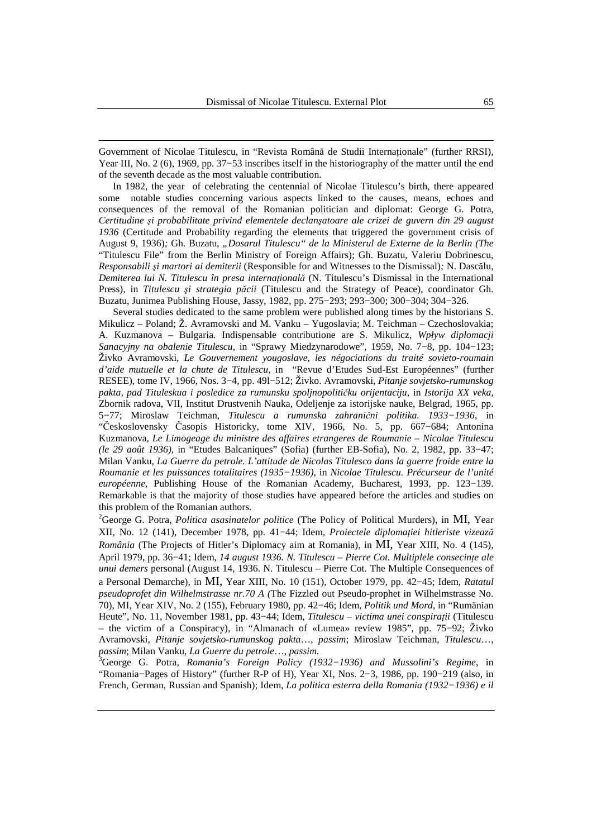Government of Nicolae Titulescu, in "Revista Română de Studii Internaţionale" (further RRSI), Year III, No. 2 (6), 1969, pp. 37−53 inscribes itself in the historiography of the matter until the end of the seventh decade as the most valuable contribution.

 $\overline{a}$ 

In 1982, the year of celebrating the centennial of Nicolae Titulescu's birth, there appeared some notable studies concerning various aspects linked to the causes, means, echoes and consequences of the removal of the Romanian politician and diplomat: George G. Potra, *Certitudine şi probabilitate privind elementele declanşatoare ale crizei de guvern din 29 august 1936* (Certitude and Probability regarding the elements that triggered the government crisis of August 9, 1936)*;* Gh. Buzatu, *"Dosarul Titulescu" de la Ministerul de Externe de la Berlin (The*  "Titulescu File" from the Berlin Ministry of Foreign Affairs); Gh. Buzatu, Valeriu Dobrinescu, *Responsabili şi martori ai demiterii* (Responsible for and Witnesses to the Dismissal)*;* N. Dascălu, *Demiterea lui N. Titulescu în presa internaţională* (N. Titulescu's Dismissal in the International Press)*,* in *Titulescu şi strategia păcii* (Titulescu and the Strategy of Peace), coordinator Gh. Buzatu, Junimea Publishing House, Jassy, 1982, pp. 275−293; 293−300; 300−304; 304−326.

Several studies dedicated to the same problem were published along times by the historians S. Mikulicz – Poland; Ž. Avramovski and M. Vanku – Yugoslavia; M. Teichman – Czechoslovakia; A. Kuzmanova – Bulgaria. Indispensable contributione are S. Mikulicz, *Wpływ diplomacji Sanacyjny na obalenie Titulescu,* in "Sprawy Miedzynarodowe", 1959, No. 7−8, pp. 104−123; Živko Avramovski, *Le Gouvernement yougoslave, les négociations du traité sovieto-roumain d'aide mutuelle et la chute de Titulescu,* in "Revue d'Etudes Sud-Est Européennes" (further RESEE), tome IV, 1966, Nos. 3−4, pp. 49l−512; Živko. Avramovski, *Pitanje sovjetsko-rumunskog pakta, pad Tituleskua i posledice za rumunsku spoljnopolitičku orijentaciju,* in *Istorija XX veka,*  Zbornik radova, VII, Institut Drustvenih Nauka, Odeljenje za istorijske nauke, Belgrad, 1965, pp. 5−77; Miroslaw Teichman, *Titulescu a rumunska zahranični politika. 1933−1936*, in "Československy Časopis Historicky, tome XIV, 1966, No. 5, pp. 667−684; Antonina Kuzmanova, *Le Limogeage du ministre des affaires etrangeres de Roumanie – Nicolae Titulescu (le 29 août 1936),* in "Etudes Balcaniques" (Sofia) (further EB-Sofia), No. 2, 1982, pp. 33−47; Milan Vanku, *La Guerre du petrole. L'attitude de Nicolas Titulesco dans la guerre froide entre la Roumanie et les puissances totalitaires (1935−1936),* in *Nicolae Titulescu. Précurseur de l'unité européenne,* Publishing House of the Romanian Academy, Bucharest, 1993, pp. 123−139. Remarkable is that the majority of those studies have appeared before the articles and studies on this problem of the Romanian authors.

<sup>2</sup>George G. Potra, *Politica asasinatelor politice* (The Policy of Political Murders)*,* in MI, Year XII, No. 12 (141), December 1978, pp. 41−44; Idem, *Proiectele diplomaţiei hitleriste vizează România* (The Projects of Hitler's Diplomacy aim at Romania)*,* in MI, Year XIII, No. 4 (145), April 1979, pp. 36−41; Idem, *14 august 1936. N. Titulescu – Pierre Cot. Multiplele consecinţe ale unui demers* personal (August 14, 1936. N. Titulescu – Pierre Cot. The Multiple Consequences of a Personal Demarche)*,* in MI, Year XIII, No. 10 (151), October 1979, pp. 42−45; Idem, *Ratatul pseudoprofet din Wilhelmstrasse nr.70 A (*The Fizzled out Pseudo-prophet in Wilhelmstrasse No. 70)*,* MI, Year XIV, No. 2 (155), February 1980, pp. 42−46; Idem, *Politik und Mord,* in "Rumänian Heute", No. 11, November 1981, pp. 43−44; Idem, *Titulescu – victima unei conspiraţii* (Titulescu – the victim of a Conspiracy)*,* in "Almanach of «Lumea» review 1985", pp. 75−92; Živko Avramovski, *Pitanje sovjetsko-rumunskog pakta*…, *passim*; Miroslaw Teichman, *Titulescu*…, *passim*; Milan Vanku, *La Guerre du petrole*…, *passim.*

<sup>3</sup>George G. Potra, *Romania's Foreign Policy (1932−1936) and Mussolini's Regime,* in "Romania−Pages of History" (further R-P of H), Year XI, Nos. 2−3, 1986, pp. 190−219 (also, in French, German, Russian and Spanish); Idem, *La politica esterra della Romania (1932−1936) e il*